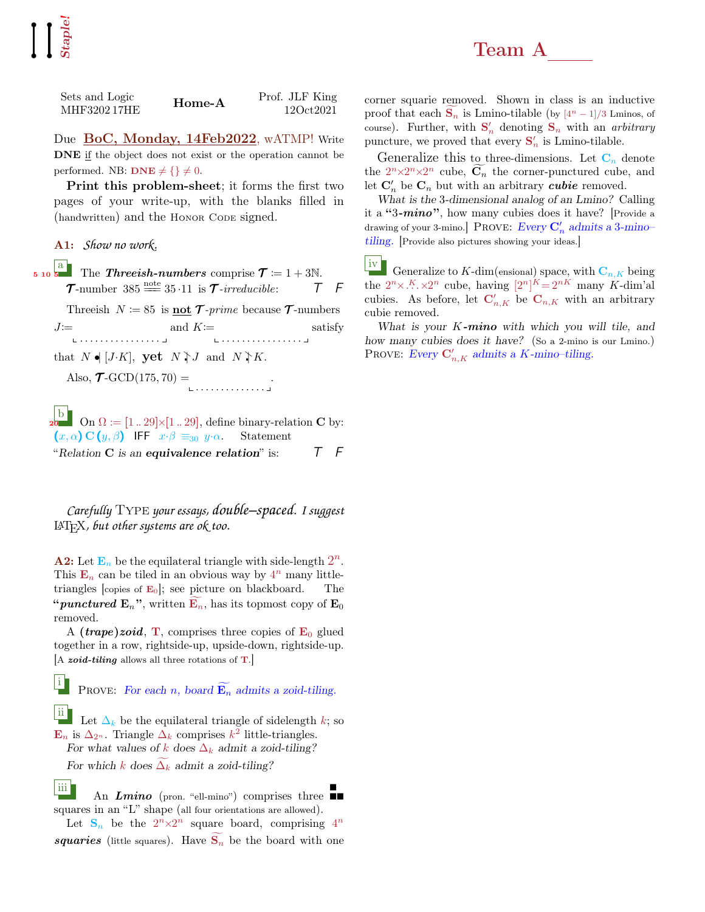| Sets and Logic<br>MHF3202 17HE | Home-A | Prof. JLF King<br>12Oct2021 |
|--------------------------------|--------|-----------------------------|
|                                |        |                             |

Due BoC, Monday, 14Feb2022, wATMP! Write DNE if the object does not exist or the operation cannot be performed. NB:  $\mathbf{DNE} \neq \{\}\neq 0.$ 

Print this problem-sheet; it forms the first two pages of your write-up, with the blanks filled in (handwritten) and the Honor Code signed.

A1: *Show no work.*

 $\begin{bmatrix} \frac{a}{b} \\ \frac{b}{c} \end{bmatrix}$  The Threeish-numbers comprise  $\mathcal{T} \coloneqq 1 + 3\mathbb{N}$ .  $\mathcal{T}$ -number 385  $\stackrel{\text{note}}{=}$  35 ·11 is  $\mathcal{T}$ -irreducible:  $\begin{array}{ccc} \top & \digamma \end{array}$ Threeish  $N \coloneqq 85$  is **not**  $\mathcal{T}\text{-}prime$  because  $\mathcal{T}\text{-}numbers$  $J=$ . . . . . . . . . . . . . . . . and  $K:=$ . . . . . . . . . . . . . . . . satisfy that  $N \bullet [J \cdot K]$ , yet  $N \uparrow J$  and  $N \uparrow K$ . Also,  $\mathcal{T}\text{-GCD}(175, 70) =$ 

 $\frac{1}{20}$ On  $\Omega := [1 \dots 29] \times [1 \dots 29]$ , define binary-relation **C** by:  $(x, \alpha)$  C  $(y, \beta)$  IFF  $x \cdot \beta \equiv_{30} y \cdot \alpha$ . Statement "Relation C is an equivalence relation" is:  $T \quad F$ 

*Carefully* Type *your essays, double–spaced. I suggest* LATEX*, but other systems are ok too.*

**A2:** Let  $\mathbf{E}_n$  be the equilateral triangle with side-length  $2^n$ . This  $\mathbf{E}_n$  can be tiled in an obvious way by  $4^n$  many littletriangles [copies of  $E_0$ ]; see picture on blackboard. The "*punctured*  $\mathbf{E}_n$ ", written  $\mathbf{E}_n$ , has its topmost copy of  $\mathbf{E}_0$ removed.

A (*trape*)*zoid*, **T**, comprises three copies of  $\mathbf{E}_0$  glued together in a row, rightside-up, upside-down, rightside-up. A zoid-tiling allows all three rotations of  $T$ .

PROVE: For each n, board  $\widetilde{\mathbf{E}_n}$  admits a zoid-tiling.

ii Let  $\Delta_k$  be the equilateral triangle of sidelength k; so  $\mathbf{E}_n$  is  $\Delta_{2^n}$ . Triangle  $\Delta_k$  comprises  $k^2$  little-triangles. For what values of k does  $\Delta_k$  admit a zoid-tiling?

For which k does  $\Delta_k$  admit a zoid-tiling?

i

iii An  $Lmino$  (pron. "ell-mino") comprises three  $\blacksquare$ squares in an "L" shape (all four orientations are allowed).

Let  $S_n$  be the  $2^n \times 2^n$  square board, comprising  $4^n$ squaries (little squares). Have  $S_n$  be the board with one corner squarie removed. Shown in class is an inductive proof that each  $S_n$  is Lmino-tilable (by  $[4^n - 1]/3$  Lminos, of course). Further, with  $S'_n$  denoting  $S_n$  with an *arbitrary* puncture, we proved that every  $\mathbf{S}'_n$  is Lmino-tilable.

Generalize this to three-dimensions. Let  $C_n$  denote the  $2^{n} \times 2^{n} \times 2^{n}$  cube,  $C_n$  the corner-punctured cube, and let  $\mathbf{C}'_n$  be  $\mathbf{C}_n$  but with an arbitrary *cubie* removed.

What is the 3-dimensional analog of an Lmino? Calling it a "3- $mino$ ", how many cubies does it have? [Provide a drawing of your 3-mino.] PROVE:  $Every C'_n$  admits a 3-mino– tiling. [Provide also pictures showing your ideas.]

iv Generalize to K-dim(ensional) space, with  $C_{n,K}$  being the  $2^n \times K \times 2^n$  cube, having  $[2^n]^K = 2^{nK}$  many K-dim'al cubies. As before, let  $\mathbf{C}'_{n,K}$  be  $\mathbf{C}_{n,K}$  with an arbitrary cubie removed.

What is your  $K$ -mino with which you will tile, and how many cubies does it have? (So a 2-mino is our Lmino.) PROVE: Every  $\mathbf{C}'_{n,K}$  admits a K-mino-tiling.